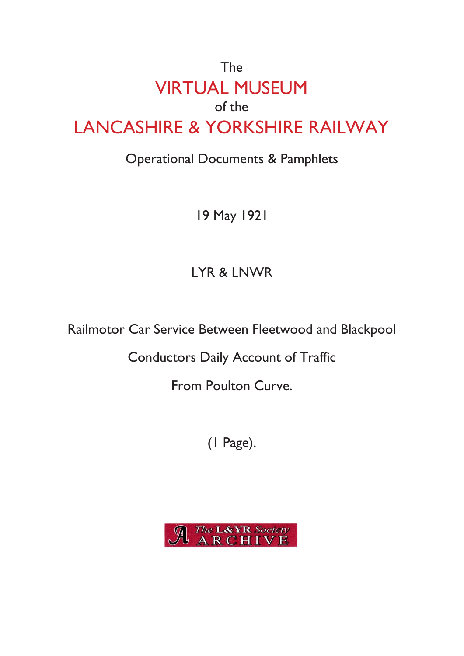## The VIRTUAL MUSEUM of the LANCASHIRE & YORKSHIRE RAILWAY

## Operational Documents & Pamphlets

19 May 1921

## LYR & LNWR

Railmotor Car Service Between Fleetwood and Blackpool

Conductors Daily Account of Traffic

From Poulton Curve.

(1 Page).